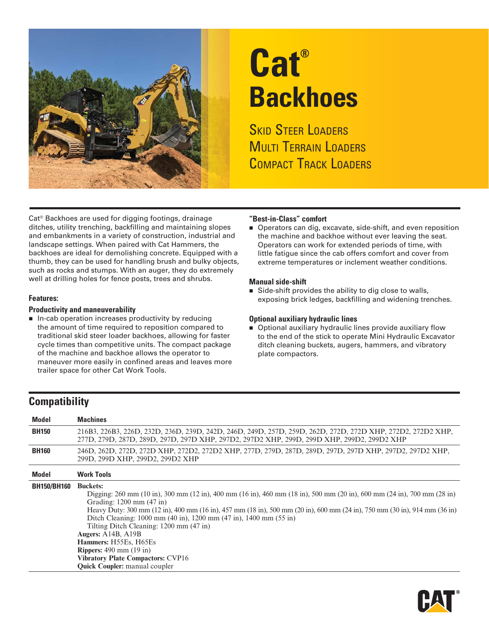

# **Cat® Backhoes**

**SKID STEER LOADERS** MULTI TERRAIN LOADERS COMPACT TRACK LOADERS

Cat® Backhoes are used for digging footings, drainage ditches, utility trenching, backfilling and maintaining slopes and embankments in a variety of construction, industrial and landscape settings. When paired with Cat Hammers, the backhoes are ideal for demolishing concrete. Equipped with a thumb, they can be used for handling brush and bulky objects, such as rocks and stumps. With an auger, they do extremely well at drilling holes for fence posts, trees and shrubs.

#### **Features:**

#### **Productivity and maneuverability**

 $\blacksquare$  In-cab operation increases productivity by reducing the amount of time required to reposition compared to traditional skid steer loader backhoes, allowing for faster cycle times than competitive units. The compact package of the machine and backhoe allows the operator to maneuver more easily in confined areas and leaves more trailer space for other Cat Work Tools.

#### **"Best-in-Class" comfort**

■ Operators can dig, excavate, side-shift, and even reposition the machine and backhoe without ever leaving the seat. Operators can work for extended periods of time, with little fatigue since the cab offers comfort and cover from extreme temperatures or inclement weather conditions.

#### **Manual side-shift**

Side-shift provides the ability to dig close to walls, exposing brick ledges, backfilling and widening trenches.

#### **Optional auxiliary hydraulic lines**

**Deparat** Optional auxiliary hydraulic lines provide auxiliary flow to the end of the stick to operate Mini Hydraulic Excavator ditch cleaning buckets, augers, hammers, and vibratory plate compactors.

### **Compatibility**

| <b>Model</b>       | <b>Machines</b>                                                                                                                                                                                                                                                                                                                                                                                                                                                                                                                                                                                  |
|--------------------|--------------------------------------------------------------------------------------------------------------------------------------------------------------------------------------------------------------------------------------------------------------------------------------------------------------------------------------------------------------------------------------------------------------------------------------------------------------------------------------------------------------------------------------------------------------------------------------------------|
| <b>BH150</b>       | 216B3, 226B3, 226D, 232D, 236D, 239D, 242D, 246D, 249D, 257D, 259D, 262D, 272D, 272D XHP, 272D2, 272D2 XHP,<br>277D, 279D, 287D, 289D, 297D, 297D XHP, 297D2, 297D2 XHP, 299D, 299D XHP, 299D2, 299D2 XHP                                                                                                                                                                                                                                                                                                                                                                                        |
| <b>BH160</b>       | 246D, 262D, 272D, 272D XHP, 272D2, 272D2 XHP, 277D, 279D, 287D, 289D, 297D, 297D XHP, 297D2, 297D2 XHP,<br>299D, 299D ХНР, 299D2, 299D2 ХНР                                                                                                                                                                                                                                                                                                                                                                                                                                                      |
| <b>Model</b>       | <b>Work Tools</b>                                                                                                                                                                                                                                                                                                                                                                                                                                                                                                                                                                                |
| <b>BH150/BH160</b> | <b>Buckets:</b><br>Digging: 260 mm (10 in), 300 mm (12 in), 400 mm (16 in), 460 mm (18 in), 500 mm (20 in), 600 mm (24 in), 700 mm (28 in)<br>Grading: 1200 mm (47 in)<br>Heavy Duty: 300 mm (12 in), 400 mm (16 in), 457 mm (18 in), 500 mm (20 in), 600 mm (24 in), 750 mm (30 in), 914 mm (36 in)<br>Ditch Cleaning: 1000 mm (40 in), 1200 mm (47 in), 1400 mm (55 in)<br>Tilting Ditch Cleaning: 1200 mm (47 in)<br>Augers: $A14B$ , $A19B$<br>Hammers: H55Es, H65Es<br><b>Rippers:</b> 490 mm $(19$ in)<br><b>Vibratory Plate Compactors: CVP16</b><br><b>Quick Coupler:</b> manual coupler |

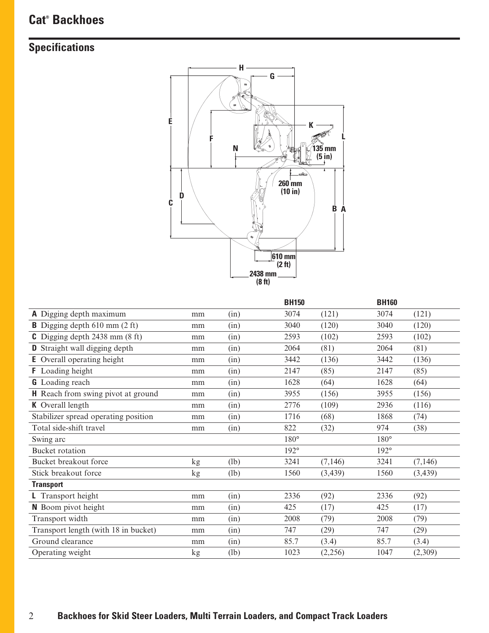# **Cat® Backhoes**

# **Specifications**



|                                                |    |      | <b>BH150</b> |          | <b>BH160</b>  |          |
|------------------------------------------------|----|------|--------------|----------|---------------|----------|
| A Digging depth maximum                        | mm | (in) | 3074         | (121)    | 3074          | (121)    |
| <b>B</b> Digging depth $610 \text{ mm}$ (2 ft) | mm | (in) | 3040         | (120)    | 3040          | (120)    |
| C Digging depth $2438$ mm $(8 \text{ ft})$     | mm | (in) | 2593         | (102)    | 2593          | (102)    |
| <b>D</b> Straight wall digging depth           | mm | (in) | 2064         | (81)     | 2064          | (81)     |
| <b>E</b> Overall operating height              | mm | (in) | 3442         | (136)    | 3442          | (136)    |
| <b>F</b> Loading height                        | mm | (in) | 2147         | (85)     | 2147          | (85)     |
| <b>G</b> Loading reach                         | mm | (in) | 1628         | (64)     | 1628          | (64)     |
| <b>H</b> Reach from swing pivot at ground      | mm | (in) | 3955         | (156)    | 3955          | (156)    |
| <b>K</b> Overall length                        | mm | (in) | 2776         | (109)    | 2936          | (116)    |
| Stabilizer spread operating position           | mm | (in) | 1716         | (68)     | 1868          | (74)     |
| Total side-shift travel                        | mm | (in) | 822          | (32)     | 974           | (38)     |
| Swing arc                                      |    |      | 180°         |          | $180^{\circ}$ |          |
| Bucket rotation                                |    |      | 192°         |          | 192°          |          |
| Bucket breakout force                          | kg | (lb) | 3241         | (7, 146) | 3241          | (7, 146) |
| Stick breakout force                           | kg | (lb) | 1560         | (3, 439) | 1560          | (3, 439) |
| <b>Transport</b>                               |    |      |              |          |               |          |
| L Transport height                             | mm | (in) | 2336         | (92)     | 2336          | (92)     |
| N Boom pivot height                            | mm | (in) | 425          | (17)     | 425           | (17)     |
| Transport width                                | mm | (in) | 2008         | (79)     | 2008          | (79)     |
| Transport length (with 18 in bucket)           | mm | (in) | 747          | (29)     | 747           | (29)     |
| Ground clearance                               | mm | (in) | 85.7         | (3.4)    | 85.7          | (3.4)    |
| Operating weight                               | kg | (lb) | 1023         | (2,256)  | 1047          | (2,309)  |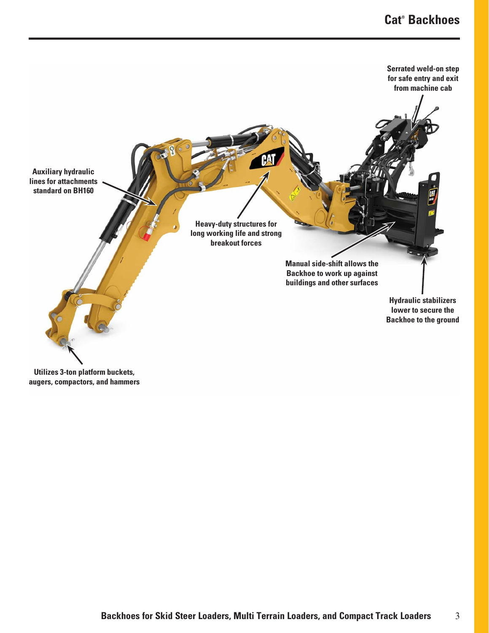